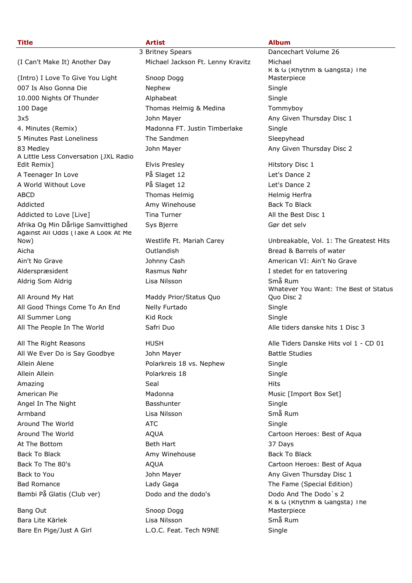| <b>Title</b>                                         | <b>Artist</b>                     | <b>Album</b>                           |
|------------------------------------------------------|-----------------------------------|----------------------------------------|
|                                                      | 3 Britney Spears                  | Dancechart Volume 26                   |
| (I Can't Make It) Another Day                        | Michael Jackson Ft. Lenny Kravitz | Michael                                |
|                                                      |                                   | R & G (Rhythm & Gangsta) The           |
| (Intro) I Love To Give You Light                     | Snoop Dogg                        | Masterpiece                            |
| 007 Is Also Gonna Die                                | Nephew                            | Single                                 |
| 10.000 Nights Of Thunder                             | Alphabeat                         | Single                                 |
| 100 Dage                                             | Thomas Helmig & Medina            | Tommyboy                               |
| 3x5                                                  | John Mayer                        | Any Given Thursday Disc 1              |
| 4. Minutes (Remix)                                   | Madonna FT. Justin Timberlake     | Single                                 |
| 5 Minutes Past Loneliness                            | The Sandmen                       | Sleepyhead                             |
| 83 Medley                                            | John Mayer                        | Any Given Thursday Disc 2              |
| A Little Less Conversation [JXL Radio<br>Edit Remix] | Elvis Presley                     | Hitstory Disc 1                        |
| A Teenager In Love                                   | På Slaget 12                      | Let's Dance 2                          |
| A World Without Love                                 | På Slaget 12                      | Let's Dance 2                          |
| <b>ABCD</b>                                          | Thomas Helmig                     | Helmig Herfra                          |
| Addicted                                             | Amy Winehouse                     | <b>Back To Black</b>                   |
| Addicted to Love [Live]                              | Tina Turner                       | All the Best Disc 1                    |
| Afrika Og Min Dårlige Samvittighed                   | Sys Bjerre                        | Gør det selv                           |
| Against All Odds (Take A Look At Me                  |                                   |                                        |
| Now)                                                 | Westlife Ft. Mariah Carey         | Unbreakable, Vol. 1: The Greatest Hits |
| Aicha                                                | Outlandish                        | Bread & Barrels of water               |
| Ain't No Grave                                       | Johnny Cash                       | American VI: Ain't No Grave            |
| Alderspræsident                                      | Rasmus Nøhr                       | I stedet for en tatovering             |
| Aldrig Som Aldrig                                    | Lisa Nilsson                      | Små Rum                                |
|                                                      |                                   | Whatever You Want: The Best of Status  |
| All Around My Hat                                    | Maddy Prior/Status Quo            | Quo Disc 2                             |
| All Good Things Come To An End                       | Nelly Furtado                     | Single                                 |
| All Summer Long                                      | Kid Rock                          | Single                                 |
| All The People In The World                          | Safri Duo                         | Alle tiders danske hits 1 Disc 3       |
| All The Right Reasons                                | <b>HUSH</b>                       | Alle Tiders Danske Hits vol 1 - CD 01  |
| All We Ever Do is Say Goodbye                        | John Mayer                        | <b>Battle Studies</b>                  |
| Allein Alene                                         | Polarkreis 18 vs. Nephew          | Single                                 |
| Allein Allein                                        | Polarkreis 18                     | Single                                 |
| Amazing                                              | Seal                              | Hits                                   |
| American Pie                                         | Madonna                           | Music [Import Box Set]                 |
| Angel In The Night                                   | Basshunter                        | Single                                 |
| Armband                                              | Lisa Nilsson                      | Små Rum                                |
| Around The World                                     | <b>ATC</b>                        | Single                                 |
| Around The World                                     | <b>AQUA</b>                       | Cartoon Heroes: Best of Aqua           |
| At The Bottom                                        | Beth Hart                         | 37 Days                                |
| <b>Back To Black</b>                                 | Amy Winehouse                     | <b>Back To Black</b>                   |
| Back To The 80's                                     | <b>AQUA</b>                       | Cartoon Heroes: Best of Aqua           |
| Back to You                                          | John Mayer                        | Any Given Thursday Disc 1              |
| <b>Bad Romance</b>                                   | Lady Gaga                         | The Fame (Special Edition)             |
| Bambi På Glatis (Club ver)                           | Dodo and the dodo's               | Dodo And The Dodo's 2                  |
|                                                      |                                   | R & G (Rhythm & Gangsta) The           |
| Bang Out                                             | Snoop Dogg                        | Masterpiece                            |
| Bara Lite Kärlek                                     | Lisa Nilsson                      | Små Rum                                |
| Bare En Pige/Just A Girl                             | L.O.C. Feat. Tech N9NE            | Single                                 |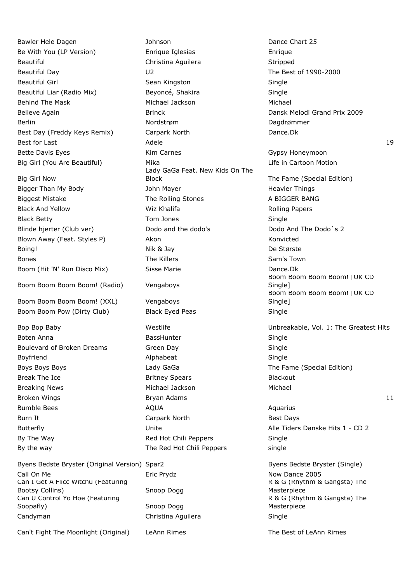Bawler Hele Dagen **Dance Chart 25** Johnson **Dance Chart 25** 

Big Girl Now

Boom Boom Boom Boom! (Radio) Vengaboys

Boom Boom Boom Boom! (XXL) Vengaboys

Byens Bedste Bryster (Original Version) Spar2 Byens Bedste Bryster (Single) Call On Me **Eric Prydz** Eric Prydz Now Dance 2005 Can I Get A Flicc Witchu (Featuring Bootsy Collins) Snoop Dogg Can U Control Yo Hoe (Featuring Soopafly) Snoop Dogg Candyman Christina Aguilera Single

Can't Fight The Moonlight (Original) LeAnn Rimes The Best of LeAnn Rimes

Be With You (LP Version) Enrique Iglesias Enrique Beautiful **Christina Aguilera** Stripped Christina Aguilera Stripped Stripped Beautiful Day U2 The Best of 1990-2000 Beautiful Girl Sean Kingston Sean Kingston Single Beautiful Liar (Radio Mix) Beyoncé, Shakira Single Behind The Mask **Michael Jackson** Michael Jackson Michael Michael Michael Michael Believe Again **Brinck** Brinck **Dansk Melodi Grand Prix 2009** Berlin Nordstrøm Nordstrøm Dagdrømmer Best Day (Freddy Keys Remix) Carpark North Dance.Dk Bette Davis Eyes **Kim Carnes** Communication Carnes Gypsy Honeymoon Big Girl (You Are Beautiful) Mika Mika Life in Cartoon Motion Lady GaGa Feat. New Kids On The Block The Fame (Special Edition) Bigger Than My Body John Mayer Heavier Things Biggest Mistake The Rolling Stones A BIGGER BANG Black And Yellow **Michalifa** Rolling Papers Wiz Khalifa Rolling Papers Black Betty **Single Single Single Single Single** Tom Jones **Single Single** Blinde hjerter (Club ver) Dodo and the dodo's Dodo And The Dodo's 2 Blown Away (Feat. Styles P) Akon Akon Konvicted Boing! De Største **Bones** The Killers **The Killers** Sam's Town Boom (Hit 'N' Run Disco Mix) Sisse Marie Dance.Dk Boom Boom Pow (Dirty Club) Black Eyed Peas Single Boten Anna **BassHunter** BassHunter **Single** Boten Anna **Single** Boulevard of Broken Dreams Green Day Single Boyfriend **Alphabeat** Alphabeat Single Boys Boys Boys **Example 2** Lady GaGa The Fame (Special Edition) Break The Ice **Britney Spears** Blackout Blackout Breaking News Michael Jackson Michael Bumble Bees **AQUA** Aquarius AQUA Burn It **Burn It Carpark North** Best Days Butterfly **Butterfly Example 2** Unite Music Constants Alle Tiders Danske Hits 1 - CD 2 By The Way **Red Hot Chili Peppers** Single By the way single September 2011 The Red Hot Chili Peppers single

Best for Last Adele 19 Boom Boom Boom Boom! [UK CD Single<sub>1</sub> Boom Boom Boom Boom! [UK CD Single] Bop Bop Baby **Westlife** Westlife **Westlife** Unbreakable, Vol. 1: The Greatest Hits Broken Wings **Bryan Adams** Bryan Adams **11** 

R & G (Rhythm & Gangsta) The Masterpiece R & G (Rhythm & Gangsta) The Masterpiece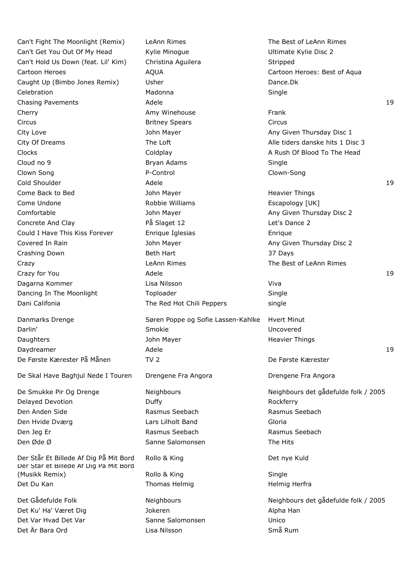Can't Fight The Moonlight (Remix) LeAnn Rimes The Best of LeAnn Rimes Can't Get You Out Of My Head Kylie Minogue New Your Bussel Bussel Ultimate Kylie Disc 2 Can't Hold Us Down (feat. Lil' Kim) Christina Aguilera Stripped Cartoon Heroes **AQUA** Cartoon Heroes: Best of Aqua Caught Up (Bimbo Jones Remix) Usher Dance. Dk Celebration **Madonna** Madonna Single Chasing Pavements **Adele** 19 and 2008 and 2008 and 2008 and 2008 and 2008 and 2008 and 2008 and 2008 and 2008 and 2008 and 2008 and 2008 and 2008 and 2008 and 2008 and 2008 and 2008 and 2008 and 2008 and 2008 and 2008 and Cherry **Amy Winehouse** Frank Circus Britney Spears Circus City Love **Any City Love City Love John Mayer** Any Given Thursday Disc 1 City Of Dreams The Loft Alle tiders danske hits 1 Disc 3 Clocks Coldplay Coldplay Coldplay A Rush Of Blood To The Head Cloud no 9 **Bryan Adams** Bryan Adams Single Clown Song The Control P-Control Clown-Song Clown-Song  $\blacksquare$ Cold Shoulder and Adele 19 and Adele 19 and Adele 19 and Adele 19 and Adele 19 and Adele 19 and Adele 19 and Adele 19 and Adele 19 and Adele 19 and Adele 19 and Adele 19 and Adele 19 and Adele 19 and Adele 19 and Ade Come Back to Bed **Come Back to Bed** John Mayer **Heavier Things** Come Undone The Robbie Williams Escapology [UK] Comfortable **Comfortable** John Mayer **Any Given Thursday Disc 2** Concrete And Clay På Slaget 12 Let's Dance 2 Could I Have This Kiss Forever Enrique Iglesias Enrique Covered In Rain **Mayer** Any Given Thursday Disc 2 Crashing Down **Beth Hart** Beth Hart 37 Days Crazy **Crazy Crazy LeAnn Rimes The Best of LeAnn Rimes** Crazy for You and the Adele 19 Adele 19 Adele 19 Adele 19 Adele 19 Adele 19 Adele 19 Adele 19 Adele 19 Adele 19 Adele 19 Adele 19 Adele 19 Adele 19 Adele 19 Adele 19 Adele 19 Adele 19 Adele 19 Adele 19 Adele 19 Adele 19 Ad Dagarna Kommer Lisa Nilsson Viva Dancing In The Moonlight Toploader Toploader Single Dani Califonia **The Red Hot Chili Peppers** single

De Skal Have Baghjul Nede I Touren Drengene Fra Angora Drengene Fra Angora

Delayed Devotion **Duffy** Duffy **Duffy Contained Bookferry Rockferry** Den Anden Side Rasmus Seebach Rasmus Seebach Den Hvide Dværg Lars Lilholt Band Gloria Den Jeg Er **Rasmus Seebach** Rasmus Seebach Rasmus Seebach Rasmus Seebach Den Øde Ø Sanne Salomonsen The Hits

Der Står Et Billede Af Dig På Mit Bord Rollo & King Det nye Kuld Der Står et Billede Af Dig På Mit Bord (Musikk Remix) **Rollo & King** Single Single Det Du Kan Thomas Helmig Herfrangen Helmig Herfrangen Helmig Herfrangen Helmig Herfrangen Herfrangen Herfrangen

Det Ku' Ha' Været Dig Sammen Alpha Han Northern Alpha Han Alpha Han Alpha Han Alpha Han Alpha Han Alpha Han Alpha Han Det Var Hvad Det Var Sanne Salomonsen Unico Det Är Bara Ord Lisa Nilsson Små Rum

Danmarks Drenge Søren Poppe og Sofie Lassen-Kahlke Hvert Minut Darlin' Smokie Uncovered Daughters **Communist Communist Communist Communist Communist Communist Communist Communist Communist Communist Communist Communist Communist Communist Communist Communist Communist Communist Communist Communist Communist C** Daydreamer Adele 19 De Første Kærester På Månen TV 2 De Første Kærester

De Smukke Pir Og Drenge Neighbours Neighbours det gådefulde folk / 2005

Det Gådefulde Folk Neighbours Neighbours det gådefulde folk / 2005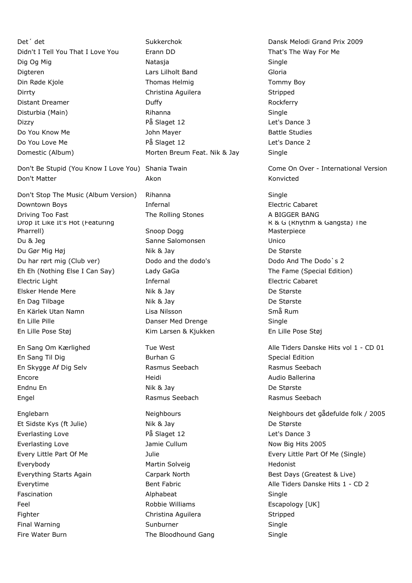Det´ det Sukkerchok Dansk Melodi Grand Prix 2009 Didn't I Tell You That I Love You Erann DD That's The Way For Me Dig Og Mig Natasia Natasia Single Single Digteren Lars Lilholt Band Gloria Din Røde Kjole Thomas Helmin Thomas Helming Tommy Boy Dirrty **Christina Aguilera** Stripped Christina Aguilera Stripped Distant Dreamer **Duffy Duffy Rockferry Rockferry** Disturbia (Main) **Rihanna** Rihanna Single Dizzy På Slaget 12 Let's Dance 3 Do You Know Me **Source Accord Studies** John Mayer **Battle Studies** Battle Studies Do You Love Me **På Slaget 12** Constants Dance 2

Don't Be Stupid (You Know I Love You) Shania Twain Come Come On Over - International Version Don't Matter **Akon** Akon **Akon** Konvicted

Don't Stop The Music (Album Version) Rihanna Single Downtown Boys **Electric Cabaret** Infernal **Infernal Electric Cabaret** Driving Too Fast The Rolling Stones A BIGGER BANG Drop It Like It's Hot (Featuring Pharrell) Snoop Dogg Du & Jeg Sanne Salomonsen Unico Du Gør Mig Høj Nik & Jay Nik & Jay De Største Du har rørt mig (Club ver) Dodo and the dodo's Dodo And The Dodo's 2 Eh Eh (Nothing Else I Can Say) Lady GaGa The Fame (Special Edition) Electric Light Infernal Electric Cabaret Elsker Hende Mere Nik & Jay De Største En Dag Tilbage Nik & Jay De Største En Kärlek Utan Namn Lisa Nilsson Små Rum En Lille Pille **Danser Med Drenge** Single

Domestic (Album) Morten Breum Feat. Nik & Jay Single En Lille Pose Støj Kim Larsen & Kjukken En Lille Pose Støj En Sang Til Dig Special Edition Communication Special Edition En Skygge Af Dig Selv Rasmus Seebach Rasmus Seebach Encore Heidi Audio Ballerina Endnu En Nik & Jay De Største Engel **Rasmus Seebach** Rasmus Seebach **Rasmus Seebach** Rasmus Seebach Et Sidste Kys (ft Julie) Nik & Jay De Største Everlasting Love **På Slaget 12** Providence 3 Everlasting Love **Contains Cullum** Jamie Cullum Now Big Hits 2005 Everybody **Martin Solveig** Martin Solveig **Martin** Solveig **Hedonist** Everything Starts Again **Exercise Carpark North** Best Days (Greatest & Live) Fascination **Alphabeat** Alphabeat Single Feel Robbie Williams Escapology [UK] Fighter Christina Aguilera Stripped Final Warning The Sunburner Single Single Fire Water Burn The Bloodhound Gang Single

R & G (Rhythm & Gangsta) The Masterpiece En Sang Om Kærlighed Tue West Alle Tiders Danske Hits vol 1 - CD 01 Englebarn Neighbours Neighbours det gådefulde folk / 2005 Every Little Part Of Me Julie Every Little Part Of Me (Single) Everytime **Bent Fabric** Bent Fabric Alle Tiders Danske Hits 1 - CD 2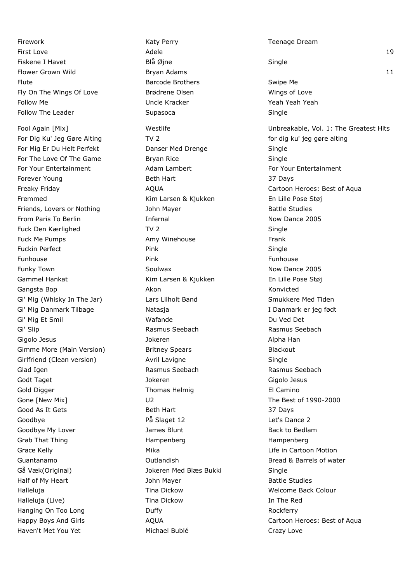Firework **Katy Perry Communist Communist Communist Communist Communist Communist Communist Communist Communist Communist Communist Communist Communist Communist Communist Communist Communist Communist Communist Communist C** First Love Adele 19 Fiskene I Havet **Blå Øjne** Blå Øjne Single Flute **Example 2 Swipe Media and Swipe Media and Swipe Media and Swipe Media and Swipe Media and Swipe Media and Swipe Media and Swipe Media and Swipe Media and Swipe Media and Swipe Media and Swipe Media and Swipe Media a** Fly On The Wings Of Love **Brødrene Olsen** Brown Wings of Love Follow Me **Verman Accord Contract Contract Contract Contract Contract Contract Contract Contract Contract Contract Contract Contract Contract Contract Contract Contract Contract Contract Contract Contract Contract Contract** Follow The Leader **Supasoca** Supasoca **Supasoca** Single

For Dig Ku' Jeg Gøre Alting TV 2 for dig ku' jeg gøre alting til for dig ku' jeg gøre alting For Mig Er Du Helt Perfekt **Danser Med Drenge** Single For The Love Of The Game Bryan Rice **Bryan Rice** Single For Your Entertainment **Adam Lambert** For Your Entertainment Forever Young **Beth Hart** Beth Hart 37 Days Fremmed Kim Larsen & Kjukken En Lille Pose Støj Friends, Lovers or Nothing and Mayer and Dohn Mayer and Battle Studies From Paris To Berlin **Infernal** Infernal Now Dance 2005 Fuck Den Kærlighed TV 2 Single Fuck Me Pumps **Amy Winehouse** Frank Fuckin Perfect **Pink** Pink **Pince All Pince Pince Pince Pince Pince Pince Pince Pince Pince Pince Pince Pince Pince Pince Pince Pince Pince Pince Pince Pince Pince Pince Pince Pince Pince Pince Pince Pince Pince Pince Pinc** Funhouse Pink Funhouse Funky Town **Soulwax** Soulwax **Now Dance 2005** Gammel Hankat Kim Larsen & Kjukken En Lille Pose Støj Gangsta Bop **Akon** Akon **Akon** Konvicted Gi' Mig (Whisky In The Jar) Lars Lilholt Band Smukkere Med Tiden Gi' Mig Danmark Tilbage Natasja **I Danmark er jeg født** Gi' Mig Et Smil National March Wafande Communication Communication Du Ved Det Gi' Slip **Rasmus Seebach** Rasmus Seebach Rasmus Seebach Gigolo Jesus and Alpha Han Jokeren Alpha Han Alpha Han Jokeren Alpha Han Alpha Han Alpha Han Alpha Han Alpha H Gimme More (Main Version) Britney Spears Theorem Blackout Girlfriend (Clean version) and Avril Lavigne and Single Single Glad Igen **Rasmus Seebach** Rasmus Seebach Rasmus Seebach Rasmus Seebach Godt Taget Taget Taget Controller Superintendent School Jokeren School and Taget Gigolo Jesus Controller School Gold Digger **Thomas Helmig** El Camino Gone [New Mix] U2 U2 The Best of 1990-2000 Good As It Gets **Beth Hart** 37 Days Goodbye **På Slaget 12** Passet 12 Let's Dance 2 Goodbye My Lover **Coodbye My Lover** James Blunt **Back to Bedlam** Grab That Thing **Hampenberg** Hampenberg Hampenberg Hampenberg Grace Kelly **Mika** Mika Life in Cartoon Motion **Cartoon** Motion Guantanamo **Calculanami Bread & Barrels of water** Cutlandish **Bread & Barrels of water** Gå Væk(Original) Jokeren Med Blæs Bukki Single Half of My Heart **Mayer** John Mayer **Battle Studies** Battle Studies Halleluja Tina Dickow Welcome Back Colour Halleluja (Live) Tina Dickow In The Red Hanging On Too Long **Contact Contact Contact Contact Contact Contact Contact Contact Contact Contact Contact Contact Contact Contact Contact Contact Contact Contact Contact Contact Contact Contact Contact Contact Contact C** Haven't Met You Yet **Michael Bublé** Crazy Love

Flower Grown Wild **Bryan Adams Bryan Adams** 11 Fool Again [Mix] Mestlife Westlife Unbreakable, Vol. 1: The Greatest Hits Freaky Friday **AQUA** AQUA Cartoon Heroes: Best of Aqua Happy Boys And Girls **AQUA** AQUA Cartoon Heroes: Best of Aqua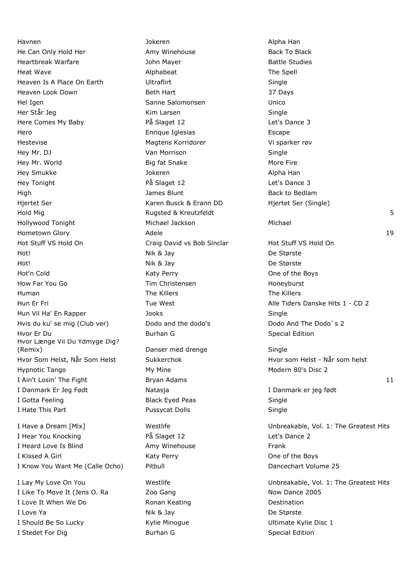Havnen Jokeren Alpha Han He Can Only Hold Her **Amy Winehouse** Back To Black To Black Heartbreak Warfare The Mayer Communication of the Mayer Battle Studies Heat Wave **Alphabeat** Alphabeat The Spell and the Spell and the Spell and the Spell and the Spell and the Spell Heaven Is A Place On Earth **Ultraflirt** Ultraflirt Single Heaven Look Down **Beth Hart Beth Hart** 37 Days Hel Igen Sanne Salomonsen Unico Her Står Jeg Single Single Kim Larsen Single Single Here Comes My Baby **På Slaget 12** det's Dance 3 Hero Enrique Iglesias Escape Hestevise Magtens Korridorer Vi sparker røv Hey Mr. DJ **Single** Van Morrison **Single** Single Hey Mr. World **Big fat Snake** More Fire More Fire Hey Smukke Jokeren Alpha Han Hey Tonight På Slaget 12 Let's Dance 3 High James Blunt Back to Bedlam Hjertet Ser Karen Busck & Erann DD Hjertet Ser (Single) Hold Mig **Rugsted & Kreutzfeldt** 5 Hollywood Tonight Michael Jackson Michael Hometown Glory **Adele** 19 Adele 19 Adele 19 Adele 19 Adele 19 Adele 19 Adele 19 Adele 19 Adele 19 Adele 19 Adele 19 Adele 19 Adele 19 Adele 19 Adele 19 Adele 19 Adele 19 Adele 19 Adele 19 Adele 19 Adele 19 Adele 19 Adele 1 Hot Stuff VS Hold On **Craig David vs Bob Sinclar** Hot Stuff VS Hold On Hot! Nik & Jay De Største Hot! Nik & Jay De Største Hot'n Cold **Katy Perry Cold Cold Katy Perry Cold** Cold Cold Cold Research Assessment Cold Cold Research Assessment Cold Research Assessment Cold Research Assessment Cold Research Assessment Cold Research Assessment Cold Re How Far You Go The South Communication Christensen Tim Christensen and Honeyburst Human The Killers The Killers Hun Vil Ha' En Rapper Single Single Hvis du ku' se mig (Club ver) Dodo and the dodo's Dodo And The Dodo's 2 Hvor Er Du Burhan G Special Edition Communication Communication Communication Communication Communication Communication Hvor Længe Vil Du Ydmyge Dig? (Remix) Danser med drenge Single Hvor Som Helst, Når Som Helst Sukkerchok Sukkerchok Hvor som Helst - Når som helst Hypnotic Tango **My Mine** My Mine Modern 80's Disc 2 I Ain't Losin' The Fight **Bryan Adams** 11 and 2008 12 and 2008 12 and 2008 12 and 2008 12 and 2008 12 and 2008 12 I Danmark Er Jeg Født Natasja I Danmark er jeg født I Gotta Feeling Sangle Black Eyed Peas Single I Hate This Part **Pussycat Dolls Pussycat Dolls** And **Single** I Have a Dream [Mix] Westlife Westlife Unbreakable, Vol. 1: The Greatest Hits I Hear You Knocking The Slaget 12 Let's Dance 2 I Heard Love Is Blind **Amy Winehouse** Frank I Kissed A Girl **Katy Perry** Changes A Girl Kissed A Girl And Maty Perry Changes A Girl And Maty Perry Changes A Girl And Maty Perry A Girl And Maty Perry A Girl And Maty Perry A Girl And Maty Perry A Girl And Maty Perry A

I Like To Move It (Jens O. Ra Zoo Gang Now Dance 2005 I Love It When We Do **Ronan Keating Ronan Keating Destination** I Love Ya **Nik & Jay** De Største I Should Be So Lucky **Example 20** Kylie Minogue **No. 2016** Ultimate Kylie Disc 1 I Stedet For Dig Summan G Special Edition Burhan G Special Edition

Hun Er Fri **Tue West** Alle Tiders Danske Hits 1 - CD 2

I Know You Want Me (Calle Ocho) Pitbull Dancechart Volume 25

I Lay My Love On You **Westlife** Westlife **Westlife** Unbreakable, Vol. 1: The Greatest Hits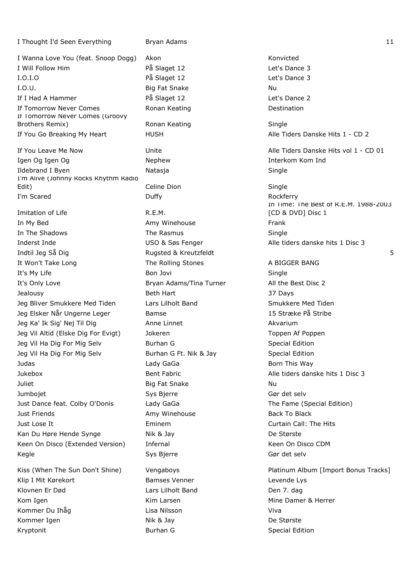I Wanna Love You (feat. Snoop Dogg) Akon Konvicted I Will Follow Him På Slaget 12 Let's Dance 3 I.O.I.O På Slaget 12 Let's Dance 3 I.O.U. San Big Fat Snake Nu and Nu and Nu and Nu and Nu and Nu and Nu and Nu and Nu and Nu and Nu and Nu and Nu If I Had A Hammer **På Slaget 12** Providence 2 If Tomorrow Never Comes **Ronan Keating Comes Destination** If Tomorrow Never Comes (Groovy Brothers Remix) **Ronan Keating Single** Single If You Go Breaking My Heart **HUSH** HUSH Alle Tiders Danske Hits 1 - CD 2 Igen Og Igen Og Nephew Nephew **Interkom Kom Ind** Ildebrand I Byen Natasja Natasja Single I'm Alive (Johnny Rocks Rhythm Radio Edit) Single Celine Dion Communication Single I'm Scared Duffy Rockferry Imitation of Life **R.E.M.** In My Bed **Amy Winehouse** Frank In The Shadows **The Rasmus** Single Inderst Inde USO & Søs Fenger Alle tiders danske hits 1 Disc 3 It Won't Take Long The Rolling Stones A BIGGER BANG It's My Life **Bon Jovi** Bon Jovi **Single** Single It's Only Love **Bryan Adams/Tina Turner** All the Best Disc 2 Jealousy Beth Hart 37 Days Jeg Bliver Smukkere Med Tiden and Lars Lilholt Band Smukkere Med Tiden Jeg Elsker Når Ungerne Leger Bamse 15 Stræke På Stribe Jeg Ka' Ik Sig' Nej Til Dig Anne Linnet Akvarium Akvarium Jeg Vil Altid (Elske Dig For Evigt) and Jokeren and Toppen Af Poppen Af Poppen Af Poppen Jeg Vil Ha Dig For Mig Selv Burhan G Special Edition Jeg Vil Ha Dig For Mig Selv Burhan G Ft. Nik & Jay Special Edition Judas Lady GaGa Born This Way Jukebox Bent Fabric Alle tiders danske hits 1 Disc 3 Juliet **Big Fat Snake** Nu Jumbojet Sys Bjerre Gør det selv Just Dance feat. Colby O'Donis Lady GaGa The Fame (Special Edition) Just Friends **Amy Winehouse** Back To Black To Black To Black To Black To Black Just Lose It Eminem Curtain Call: The Hits Kan Du Høre Hende Synge Nik & Jay De Største Keen On Disco (Extended Version) Infernal Network Channel Keen On Disco CDM Kegle Sys Bjerre Gør det selv Kiss (When The Sun Don't Shine) Vengaboys **Properties Album Album [Import Bonus Tracks**] Klip I Mit Kørekort **Bamses Venner** Levende Lys

Klovnen Er Død Maria Lars Lilholt Band Lars Lilholt Band Den 7. dag Kom Igen Nim Larsen Mine Damer & Herrer Kommer Du Ihåg Nilsson Kommer Du Ihåg Lisa Nilsson Nilsson Viva Kommer Igen Nik & Jay De Største Kryptonit **Burhan G** Special Edition Burhan G Special Edition

I Thought I'd Seen Everything Bryan Adams 11 and 12 and 12 and 12 and 12 and 12 and 12 and 12 and 12 and 12 and 12 and 12 and 12 and 12 and 12 and 12 and 12 and 12 and 12 and 12 and 12 and 12 and 12 and 12 and 12 and 12 an

If You Leave Me Now **Unite Unite** Alle Tiders Danske Hits vol 1 - CD 01 In Time: The Best of R.E.M. 1988-2003 [CD & DVD] Disc 1 Indtil Jeg Så Dig Rugsted & Kreutzfeldt 5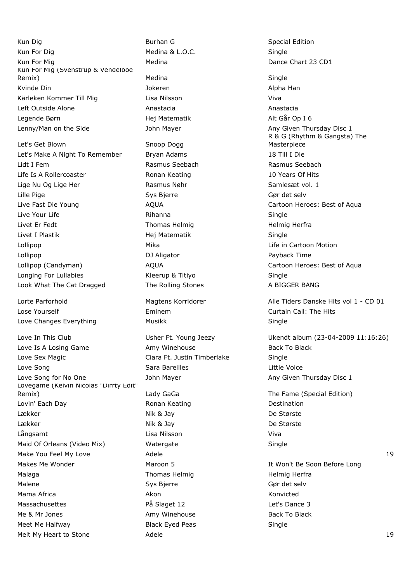Kun Dig Burhan G Special Edition Kun For Dig Network Controller Medina & L.O.C. Single Kun For Mig **Medina** Medina **Dance Chart 23 CD1** Kun For Mig (Svenstrup & Vendelboe Remix) Medina Single Kvinde Din Jokeren Alpha Han Kärleken Kommer Till Mig Lisa Nilsson viva Left Outside Alone **Anastacia** Anastacia Anastacia Anastacia Legende Børn Hej Matematik Alt Går Op I 6 Lenny/Man on the Side **Shareh Any Communist Communist Communist Communist Communist Communist Communist Communist Communist Communist Communist Communist Communist Communist Communist Communist Communist Communist Communis** 

Let's Get Blown Snoop Dogg Let's Make A Night To Remember Bryan Adams 18 Till I Die Lidt I Fem Rasmus Seebach Rasmus Seebach Life Is A Rollercoaster The Ronan Keating The State Control of Hits A Rollercoaster Number 2016 Lige Nu Og Lige Her **Rasmus Nøhr** Samlesæt vol. 1 Lille Pige Sys Bjerre Gør det selv Live Fast Die Young The State AQUA Cartoon Heroes: Best of Aqua Live Your Life **Single Rihanna** Rihanna **Single** Rihanna Single Livet Er Fedt **Thomas Helmig Helmig Herframs** Helmig Herframs Helmig Herframs Helmig Herframs Helmig Herframs Helmig Herframs Helmig Herframs Helmig Herframs Helmig Herframs Helmig Herframs Herframs Herframs Herframs Herfr Livet I Plastik Hej Matematik Single Lollipop Mika Life in Cartoon Motion Lollipop **DJ Aligator Payback Time** Lollipop (Candyman) **AQUA** AQUA Cartoon Heroes: Best of Aqua Longing For Lullabies The Reelius Reelius Richards Single Single Look What The Cat Dragged The Rolling Stones A BIGGER BANG

Lose Yourself Eminem Curtain Call: The Hits Love Changes Everything The Musikk Nusiki Single

Love Is A Losing Game **Amy Winehouse** Back To Black To Black Love Sex Magic **Communist Clara Ft. Justin Timberlake** Single Love Song **Sara Bareilles** Little Voice Little Voice Communist Communist Communist Communist Communist Communist Communist Communist Communist Communist Communist Communist Communist Communist Communist Communist Communist Love Song for No One **South Any Contact Any Any Given Thursday Disc 1** Any Given Thursday Disc 1 Lovegame (Kelvin Nicolas "Dirrty Edit" Remix) **Remix** Lady GaGa The Fame (Special Edition) Lovin' Each Day **Ronan Keating Communist Construction** Destination Lækker Nik & Jay De Største Lækker Nik & Jay De Største Långsamt Lisa Nilsson Viva Maid Of Orleans (Video Mix) Watergate Single Make You Feel My Love **Adele** 19 Adele 19 Adele 19 Adele 19 Adele 19 Adele 19 Adele 19 Adele 19 Adele 19 Adele 19 Adele 19 Adele 19 Adele 19 Adele 19 Adele 19 Adele 19 Adele 19 Adele 19 Adele 19 Adele 19 Adele 19 Adele 19 Makes Me Wonder **Maroon 5** Maroon 5 **It Won't Be Soon Before Long** Malaga **Thomas Helmig Herfra** Helmig Herfra Malene Sys Bierre Gør det selver andere Sys Bierre Gør det selv Mama Africa Akon Konvicted Massachusettes The På Slaget 12 Let's Dance 3 Me & Mr Jones **Amy Winehouse** Back To Black To Black To Black Meet Me Halfway **Black Eyed Peas** Single

Melt My Heart to Stone **Adele** 19 Adele 19 Adele 19 Adele 19 Adele 19 Adele 19 Adele 19 Adele 19 Adele 19 Adele 19 Adele 19 Adele 19 Adele 19 Adele 19 Adele 19 Adele 19 Adele 19 Adele 19 Adele 19 Adele 19 Adele 19 Adele 19

R & G (Rhythm & Gangsta) The Masterpiece

Lorte Parforhold **Magtens Korridorer** Alle Tiders Danske Hits vol 1 - CD 01

Love In This Club Usher Ft. Young Jeezy Ukendt album (23-04-2009 11:16:26)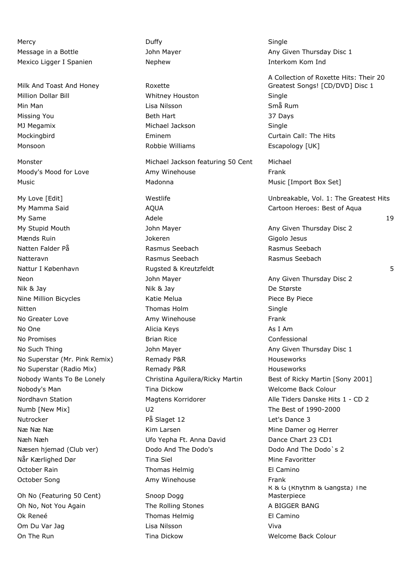Mercy Duffy Single Mexico Ligger I Spanien **Nephew Interkom Kom Index** 

Milk And Toast And Honey Roxette

Oh No (Featuring 50 Cent) Snoop Dogg Oh No, Not You Again The Rolling Stones A BIGGER BANG Ok Reneé **Thomas Helmig** El Camino Om Du Var Jag Lisa Nilsson Viva On The Run North Colour Tima Dickow Nelson Back Colour

Million Dollar Bill Whitney Houston Single Min Man Lisa Nilsson Små Rum Missing You **Beth Hart Beth Hart** 37 Days MJ Megamix Michael Jackson Single Mockingbird Eminem Curtain Call: The Hits Monsoon **Escapology** [UK] Robbie Williams **Escapology** [UK] Monster Michael Jackson featuring 50 Cent Michael Moody's Mood for Love **Amy Winehouse Amy Winehouse** Frank Music **Madonna** Madonna Music [Import Box Set] My Mamma Said **AQUA** AQUA Cartoon Heroes: Best of Aqua My Same Adele 19 My Stupid Mouth **Mayer** John Mayer Any Given Thursday Disc 2 Mænds Ruin Jokeren Gigolo Jesus Natten Falder På Rasmus Seebach Rasmus Seebach Natteravn Rasmus Seebach Rasmus Seebach Nattur I København **Example 20. System Australia Benedict Street** Street Australia Benedict Australia Street Street Street Street Street Street Street Street Street Street Street Street Street Street Street Street Street S Neon **Network Communist Communist Communist Communist Communist Communist Communist Communist Communist Communist Communist Communist Communist Communist Communist Communist Communist Communist Communist Communist Communis** Nik & Jay De Største Nine Million Bicycles **Nine Action Clube Action Medical Clube Action** Piece By Piece Nitten **Thomas Holm** Single No Greater Love **Amy Winehouse** Frank No One and Alicia Keys As I Am No Promises **Brian Rice Brian Rice Confessional** No Such Thing **No Such Thursday Disc 1** John Mayer **Any Given Thursday Disc 1** No Superstar (Mr. Pink Remix) Remady P&R Houseworks No Superstar (Radio Mix) Remady P&R Houseworks Houseworks Nobody's Man Tina Dickow Nobody's Man Tina Dickow Nelcome Back Colour Numb [New Mix] U2 U2 The Best of 1990-2000 Nutrocker and På Slaget 12 Let's Dance 3 Næ Næ Met de Kim Larsen Mine Damer og Herrer Næh Næh Ufo Yepha Ft. Anna David Dance Chart 23 CD1 Næsen hjemad (Club ver) Dodo And The Dodo's Dodo And The Dodo`s 2 Når Kærlighed Dør Tina Siel Mine Favoritter Mine Favoritter October Rain **Thomas Helmig** El Camino October Song **Amy Winehouse** Frank

Message in a Bottle Thursday Disc 1 John Mayer Any Given Thursday Disc 1 A Collection of Roxette Hits: Their 20 Greatest Songs! [CD/DVD] Disc 1

My Love [Edit] Westlife Unbreakable, Vol. 1: The Greatest Hits

Nobody Wants To Be Lonely Christina Aguilera/Ricky Martin Best of Ricky Martin [Sony 2001] Nordhavn Station **Magtens Korridorer** Alle Tiders Danske Hits 1 - CD 2 R & G (Rhythm & Gangsta) The Masterpiece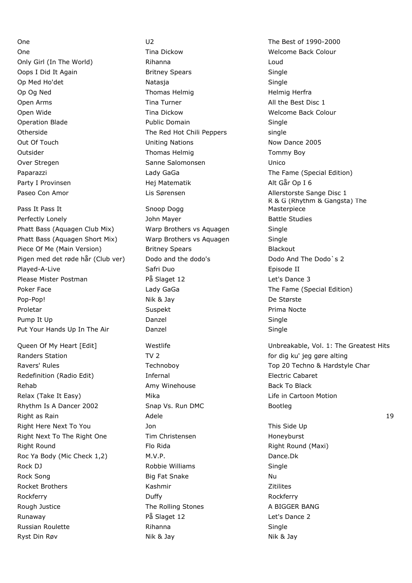Pass It Pass It Snoop Dogg Perfectly Lonely **Battle Studies** John Mayer **Battle Studies** Phatt Bass (Aquagen Club Mix) Warp Brothers vs Aquagen Single Phatt Bass (Aquagen Short Mix) Warp Brothers vs Aquagen Single Piece Of Me (Main Version) Britney Spears Blackout Pigen med det røde hår (Club ver) Dodo and the dodo's Dodo And The Dodo's 2 Played-A-Live **Safri Duo** Safri Duo **Channel Episode II** Please Mister Postman På Slaget 12 Let's Dance 3 Poker Face **The Face Contract Contract Contract Contract Contract Contract Contract Contract Contract Contract Contract Contract Contract Contract Contract Contract Contract Contract Contract Contract Contract Contract Con** Pop-Pop! Nik & Jay De Største Proletar **Suspekt** Suspekt **Proletar** Prima Nocte Pump It Up **Danzel Danzel** Single Put Your Hands Up In The Air **Danzel Single** Single

Randers Station TV 2 **For altimate in the COV COV** for dig ku' jeg gøre alting Redefinition (Radio Edit) Thermal Electric Cabaret Rehab **Amy Winehouse** Back To Black To Black To Black To Black Relax (Take It Easy) The Mika Mika Life in Cartoon Motion Notion Rhythm Is A Dancer 2002 Snap Vs. Run DMC Bootleg Right Here Next To You **Share To You Account This Side Up** This Side Up Right Next To The Right One Tim Christensen The Tomorrow Honeyburst Right Round **Flo Rida** Flo Rida Right Round (Maxi) Roc Ya Body (Mic Check 1,2) M.V.P. Dance.Dk Rock DJ **Robbie Williams** Single Rock Song Nu and Solid Big Fat Snake Nu and Nu Rocket Brothers **Kashmir** Kashmir **Kashmir** Zitilites Rockferry **Duffy** Duffy **Duffy** Rockferry Rough Justice The Rolling Stones A BIGGER BANG Runaway **På Slaget 12** Provident 2 Runaway **Provident Provident 2** Russian Roulette **Rihanna** Rihanna **Single** Russian Roulette Ryst Din Røv **Nik & Jay Nik & Jay Nik & Jay Nik & Jay Nik & Jay Nik & Jay Nik & Jay Nik & Jay Nik & Jay Nik & Jay Nik & Jay Nik & Jay Nik & Jay Nik & Jay Nik & Jay Nik & Jay Nik & Jay Nik & Jay Nik & Jay Nik & Jay Nik & Ja** 

One **Tima Dickow The Dickow** Welcome Back Colour Only Girl (In The World) Rihanna Loud Oops I Did It Again **Britney Spears** Single Op Med Ho'det Natasja Natasja Single Op Og Ned **Thomas Helmig Herframes Helmig Herframes** Helmig Herframes Helmig Herframes Helmig Herframes Helmig Herframes Helmig Herframes Helmig Herframes Helmig Herframes Herframes Herframes Herframes Herframes Herframes Open Arms **Tina Turner** All the Best Disc 1 Open Wide **Tima Dickow** Time Dickow Welcome Back Colour Operation Blade **Public Domain** Public Domain Single Otherside The Red Hot Chili Peppers single Out Of Touch **Now Dance 2005** Uniting Nations Now Dance 2005 Outsider Thomas Helmin Thomas Helmin Thomas Helmin Tommy Boy Over Stregen Sanne Salomonsen Sanne Salomonsen Unico Party I Provinsen and Hej Matematik Alt Går Op I 6

One Contract Contract Contract Contract Contract Contract Contract Contract Contract Contract Contract Contract Contract Contract Contract Contract Contract Contract Contract Contract Contract Contract Contract Contract Co Paparazzi **Lady GaGa** The Fame (Special Edition) **Lady GaGa** The Fame (Special Edition) Paseo Con Amor **Lis Sørensen** Lis Sørensen Allerstorste Sange Disc 1 R & G (Rhythm & Gangsta) The Masterpiece Queen Of My Heart [Edit] Westlife Unbreakable, Vol. 1: The Greatest Hits Ravers' Rules Technoboy Technoboy Techno & Hardstyle Char Right as Rain Adele 19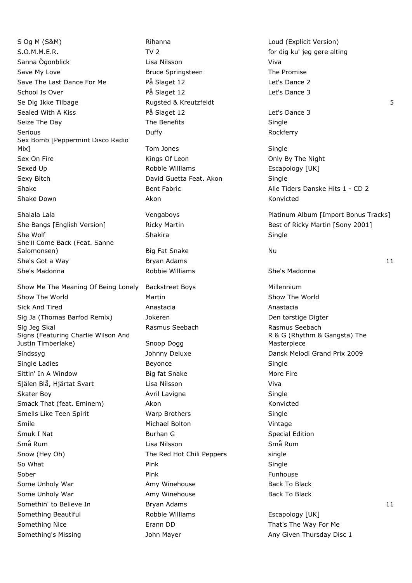S Og M (S&M) **Rihanna** Rihanna Loud (Explicit Version) S.O.M.M.E.R. TV 2 TV 2 for dig ku' jeg gøre alting Sanna Ögonblick Lisa Nilsson Viva Save My Love **Bruce Springsteen** The Promise Save The Last Dance For Me **På Slaget 12** det's Dance 2 School Is Over **På Slaget 12** Passet 12 Let's Dance 3 Se Dig Ikke Tilbage The Rugsted & Kreutzfeldt Se Dig Ikke Tilbage The Second Burgsted & Kreutzfeldt S Sealed With A Kiss **På Slaget 12** Capace 3 Let's Dance 3 Seize The Day **Seize The Day** The Benefits Single Serious **Duffy Contains Example 2018** Duffy Sex Bomb [Peppermint Disco Radio Mix] Tom Jones Single Sex On Fire **Kings Of Leon** Communication Conly By The Night Sexed Up **Robbie Williams** Escapology [UK] Sexy Bitch **David Guetta Feat. Akon** Single Shake Bent Fabric Bent Fabric Alle Tiders Danske Hits 1 - CD 2 Shake Down **Akon** Akon Akon Konvicted

She Wolf Shakira Shakira Shakira Shakira Single She'll Come Back (Feat. Sanne Salomonsen) and Big Fat Snake Nu Nu She's Madonna **She's Madonna Robbie Williams** She's Madonna

Show The World **Show The World** Martin Show The World Show The World Sick And Tired **Anastacia** Anastacia Anastacia Anastacia Sig Ja (Thomas Barfod Remix) dighteren and Den tørstige Digter Sig Jeg Skal Rasmus Seebach Rasmus Seebach Signs (Featuring Charlie Wilson And Justin Timberlake) Snoop Dogg Sindssyg **Sindssyg Communist Communist Communist Communist Communist Communist Communist Communist Communist Communist Communist Communist Communist Communist Communist Communist Communist Communist Communist Communist Com** Single Ladies **Beyonce** Beyonce **Single Ladies** Single Sittin' In A Window **Big fat Snake** More Fire More Fire Själen Blå, Hjärtat Svart Lisa Nilsson Viva Skater Boy **Skater Boy Avril Lavigne** Single Smack That (feat. Eminem) Akon Akon Konvicted Smells Like Teen Spirit **Single Show Warp Brothers** Single Single Smile **Michael Bolton** Michael Bolton **Vintage** Smuk I Nat **Burhan G** Smuk I Nat Burhan G Special Edition Små Rum Lisa Nilsson Små Rum Snow (Hey Oh) The Red Hot Chili Peppers single So What Pink Single Sober Pink Funhouse Some Unholy War **Amy Winehouse** Back To Black To Black Some Unholy War **Amy Winehouse** Back To Black To Black Somethin' to Believe In The Bryan Adams 11 and the Bryan Adams 11 and the Bryan Adams 11 Something Beautiful **Robbie Williams** Escapology [UK] Something Nice **Erann DD** Erann DD That's The Way For Me

Show Me The Meaning Of Being Lonely Backstreet Boys Millennium Something's Missing Thursday Disc 1 John Mayer Any Given Thursday Disc 1

Shalala Lala **Vengaboys** Platinum Album [Import Bonus Tracks] Platinum Album [Import Bonus Tracks] She Bangs [English Version] Ricky Martin Best of Ricky Martin [Sony 2001] She's Got a Way **Bryan Adams** Bryan Adams 11 R & G (Rhythm & Gangsta) The Masterpiece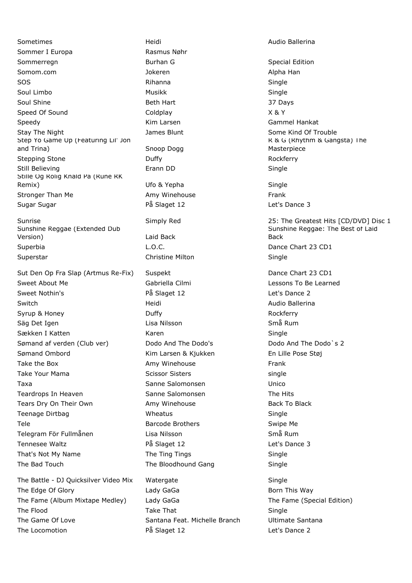Sometimes **Manufathering Heidi** Heidi Audio Ballerina Sommer I Europa Rasmus Nøhr Sommerregn **Burhan G** Burhan G Special Edition Somom.com **Somomed Alpha Han** Jokeren **Alpha Han** Alpha Han SOS Rihanna Single Soul Limbo **Musikk** Single Single Soul Shine **Beth Hart** Beth Hart 37 Days Speed Of Sound and Coldplay Coldplay Cold Cold Cold at  $X \& Y$ Speedy Kim Larsen Gammel Hankat Stay The Night **Stay The Night Communist Communist Communist Communist Communist Communist Communist Communist Communist Communist Communist Communist Communist Communist Communist Communist Communist Communist Communist C** Step Yo Game Up (Featuring Lil' Jon and Trina) Snoop Dogg Stepping Stone **Duffy Duffy Contained Bullet Rockferry Rockferry** Still Believing **Example 19 Single** Erann DD **Single** Single Stille Og Rolig Knald På (Rune RK Remix) Contract Contract Contract Ufo & Yepha Contract Contract Contract Contract Contract Contract Contract Contract Contract Contract Contract Contract Contract Contract Contract Contract Contract Contract Contract Contr Stronger Than Me **Amy Winehouse** Frank Sugar Sugar På Slaget 12 Let's Dance 3

Sunshine Reggae (Extended Dub Version) Laid Back Superbia **Contract Contract Contract Contract Contract Contract Contract Contract Contract Contract Contract Contract Contract Contract Contract Contract Contract Contract Contract Contract Contract Contract Contract Contr** Superstar **Christine Milton** Christine Milton Single

Sut Den Op Fra Slap (Artmus Re-Fix) Suspekt Dance Chart 23 CD1 Sweet About Me **Canned Contract Contract Contract Contract Contract Contract Contract Contract Contract Contract Contract Contract Contract Contract Contract Contract Contract Contract Contract Contract Contract Contract C** Sweet Nothin's The Communication of the Slaget 12 Let's Dance 2 Switch **Markov Heidi** Heidi Audio Ballerina Syrup & Honey **Example 20** Duffy **CONSIDENTS** Rockferry Säg Det Igen Lisa Nilsson Små Rum Sækken I Katten Martin Karen Karen Single Single Sømand af verden (Club ver) Dodo And The Dodo's Dodo And The Dodo`s 2 Sømand Ombord Kim Larsen & Kjukken En Lille Pose Støj Take the Box **Amy Winehouse** Frank Take Your Mama Scissor Sisters single single Taxa Sanne Salomonsen Unico Teardrops In Heaven The Sanne Salomonsen The Hits Sanne Salomonsen Tears Dry On Their Own **Amy Winehouse** Back To Black To Black Teenage Dirtbag Network Single Wheatus Single Single Tele **Barcode Brothers** Swipe Me Telegram För Fullmånen Lisa Nilsson Små Rum Tennesee Waltz **På Slaget 12** det's Dance 3 That's Not My Name The Ting Tings The Ting Tings Single The Bad Touch The Bloodhound Gang Single

The Battle - DJ Quicksilver Video Mix Watergate Single The Edge Of Glory Lady GaGa Born This Way The Fame (Album Mixtape Medley) Lady GaGa The Fame (Special Edition) The Flood **Take That Single** Single The Game Of Love Santana Feat. Michelle Branch Ultimate Santana The Locomotion The Locomotion Control of the Slaget 12 Let's Dance 2

R & G (Rhythm & Gangsta) The Masterpiece Simply Red 25: The Greatest Hits [CD/DVD] Disc 1 Sunshine Reggae: The Best of Laid Back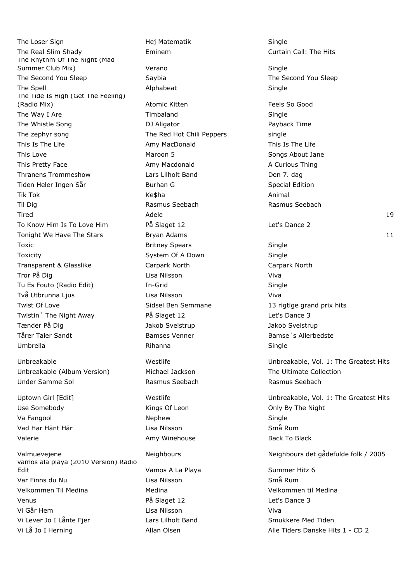The Loser Sign The Loser Sign Contract Contract Hej Matematik Single The Real Slim Shady **Eminem** Eminem Curtain Call: The Hits The Rhythm Of The Night (Mad Summer Club Mix) **Verano Single Single Single** The Second You Sleep Saybia Saybia Saybia The Second You Sleep The Spell **Single Alphabeat** Alphabeat **Single** Single The Tide Is High (Get The Feeling) (Radio Mix) **Atomic Kitten** Feels So Good **Atomic Kitten** Feels So Good The Way I Are **Timbaland** Single The Whistle Song The Whistle Song The Whistle Song Payback Time The zephyr song The Red Hot Chili Peppers single This Is The Life Amy MacDonald This Is The Life Amy MacDonald This Love **Maroon 5** Maroon 5 Songs About Jane This Pretty Face **Amy Macdonald** Amy Macdonald A Curious Thing Thranens Trommeshow Lars Lilholt Band Den 7. dag Tiden Heler Ingen Sår **Burhan G** Special Edition Tik Tok Ke\$ha Animal Til Dig Rasmus Seebach Rasmus Seebach To Know Him Is To Love Him **På Slaget 12** Let's Dance 2 Toxic **Britney Spears** Single Toxicity **System Of A Down** Single Transparent & Glasslike Carpark North Carpark North Tror På Dig Lisa Nilsson Viva Tu Es Fouto (Radio Edit) **In-Grid** Single Single Två Utbrunna Ljus Lisa Nilsson Viva Twist Of Love **Sidsel Ben Semmane** 13 rigtige grand prix hits 16 rights and prix hits Twistin<sup>'</sup> The Night Away **På Slaget 12** 12 Let's Dance 3 Tænder På Dig dettalligt dettalligt var det blander blander af det blander af det blander af det blander af de Tårer Taler Sandt **Bamses Venner** Bamses Venner Bamse<sup>'</sup>s Allerbedste Umbrella Rihanna Single

Unbreakable (Album Version) Michael Jackson The Ultimate Collection Under Samme Sol **Rasmus Seebach** Rasmus Seebach Rasmus Seebach

Va Fangool Single Nephew Nephew Single Vad Har Hänt Här Lisa Nilsson Små Rum

vamos ala playa (2010 Version) Radio Edit **Edit** Community Community Community Vamos A La Playa Community Community 6 Summer Hitz 6 Var Finns du Nu Lisa Nilsson Små Rum Velkommen Til Medina Medina Velkommen til Medina Venus **På Slaget 12** Central Museum På Slaget 12 Central Museum Parties Dance 3 Vi Går Hem Lisa Nilsson Viva Vi Lever Jo I Lånte Fjer **Lars Lilholt Band** Smukkere Med Tiden Vi Lå Jo I Herning Theory of Allan Olsen Allan Alle Tiders Danske Hits 1 - CD 2

Valerie **Amy Winehouse** Back To Black To Black To Black To Black To Black

Tired Adele 19 Tonight We Have The Stars **Bryan Adams** 11 **Bryan Adams** 11 Unbreakable Westlife Unbreakable, Vol. 1: The Greatest Hits Uptown Girl [Edit] The Unbreakable, Vol. 1: The Greatest Hits Use Somebody **Example 2** Kings Of Leon **Connect Somebody** Christene Bight Valmuevejene Neighbours Neighbours det gådefulde folk / 2005